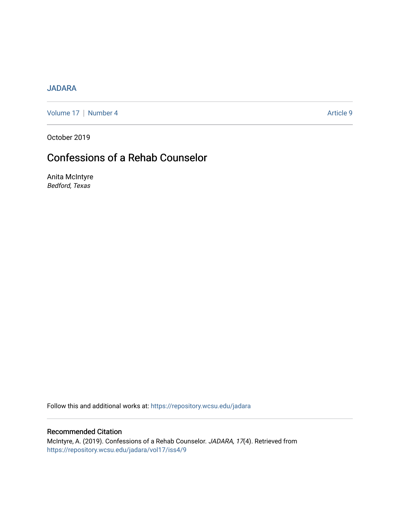## [JADARA](https://repository.wcsu.edu/jadara)

[Volume 17](https://repository.wcsu.edu/jadara/vol17) | [Number 4](https://repository.wcsu.edu/jadara/vol17/iss4) Article 9

October 2019

# Confessions of a Rehab Counselor

Anita McIntyre Bedford, Texas

Follow this and additional works at: [https://repository.wcsu.edu/jadara](https://repository.wcsu.edu/jadara?utm_source=repository.wcsu.edu%2Fjadara%2Fvol17%2Fiss4%2F9&utm_medium=PDF&utm_campaign=PDFCoverPages)

### Recommended Citation

McIntyre, A. (2019). Confessions of a Rehab Counselor. JADARA, 17(4). Retrieved from [https://repository.wcsu.edu/jadara/vol17/iss4/9](https://repository.wcsu.edu/jadara/vol17/iss4/9?utm_source=repository.wcsu.edu%2Fjadara%2Fvol17%2Fiss4%2F9&utm_medium=PDF&utm_campaign=PDFCoverPages)